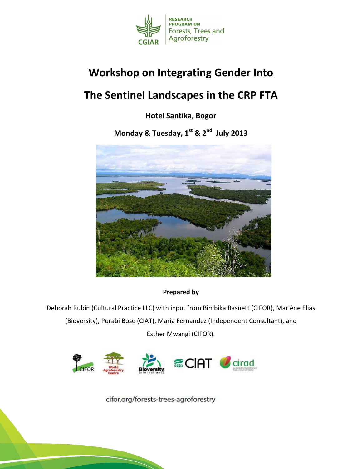

# Workshop on Integrating Gender Into

# The Sentinel Landscapes in the CRP FTA

Hotel Santika, Bogor

Monday & Tuesday, 1st & 2<sup>nd</sup> July 2013



Prepared by

Deborah Rubin (Cultural Practice LLC) with input from Bimbika Basnett (CIFOR), Marlène Elias (Bioversity), Purabi Bose (CIAT), Maria Fernandez (Independent Consultant), and Esther Mwangi (CIFOR).



cifor.org/forests-trees-agroforestry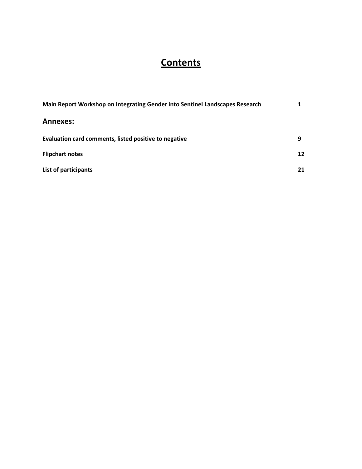# **Contents**

| Main Report Workshop on Integrating Gender into Sentinel Landscapes Research |    |
|------------------------------------------------------------------------------|----|
| <b>Annexes:</b>                                                              |    |
| Evaluation card comments, listed positive to negative                        | 9  |
| <b>Flipchart notes</b>                                                       | 12 |
| List of participants                                                         | 21 |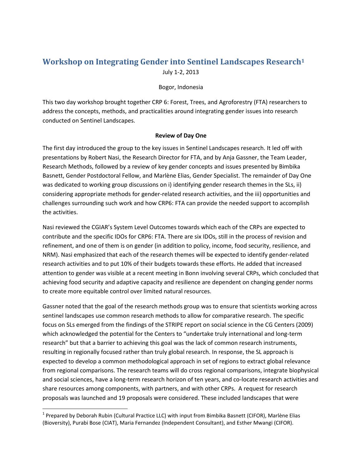# **Workshop on Integrating Gender into Sentinel Landscapes Research<sup>1</sup>** July 1-2, 2013

#### Bogor, Indonesia

This two day workshop brought together CRP 6: Forest, Trees, and Agroforestry (FTA) researchers to address the concepts, methods, and practicalities around integrating gender issues into research conducted on Sentinel Landscapes.

#### **Review of Day One**

The first day introduced the group to the key issues in Sentinel Landscapes research. It led off with presentations by Robert Nasi, the Research Director for FTA, and by Anja Gassner, the Team Leader, Research Methods, followed by a review of key gender concepts and issues presented by Bimbika Basnett, Gender Postdoctoral Fellow, and Marlène Elias, Gender Specialist. The remainder of Day One was dedicated to working group discussions on i) identifying gender research themes in the SLs, ii) considering appropriate methods for gender-related research activities, and the iii) opportunities and challenges surrounding such work and how CRP6: FTA can provide the needed support to accomplish the activities.

Nasi reviewed the CGIAR's System Level Outcomes towards which each of the CRPs are expected to contribute and the specific IDOs for CRP6: FTA. There are six IDOs, still in the process of revision and refinement, and one of them is on gender (in addition to policy, income, food security, resilience, and NRM). Nasi emphasized that each of the research themes will be expected to identify gender-related research activities and to put 10% of their budgets towards these efforts. He added that increased attention to gender was visible at a recent meeting in Bonn involving several CRPs, which concluded that achieving food security and adaptive capacity and resilience are dependent on changing gender norms to create more equitable control over limited natural resources.

Gassner noted that the goal of the research methods group was to ensure that scientists working across sentinel landscapes use common research methods to allow for comparative research. The specific focus on SLs emerged from the findings of the STRIPE report on social science in the CG Centers (2009) which acknowledged the potential for the Centers to "undertake truly international and long-term research" but that a barrier to achieving this goal was the lack of common research instruments, resulting in regionally focused rather than truly global research. In response, the SL approach is expected to develop a common methodological approach in set of regions to extract global relevance from regional comparisons. The research teams will do cross regional comparisons, integrate biophysical and social sciences, have a long-term research horizon of ten years, and co-locate research activities and share resources among components, with partners, and with other CRPs. A request for research proposals was launched and 19 proposals were considered. These included landscapes that were

l

<sup>&</sup>lt;sup>1</sup> Prepared by Deborah Rubin (Cultural Practice LLC) with input from Bimbika Basnett (CIFOR), Marlène Elias (Bioversity), Purabi Bose (CIAT), Maria Fernandez (Independent Consultant), and Esther Mwangi (CIFOR).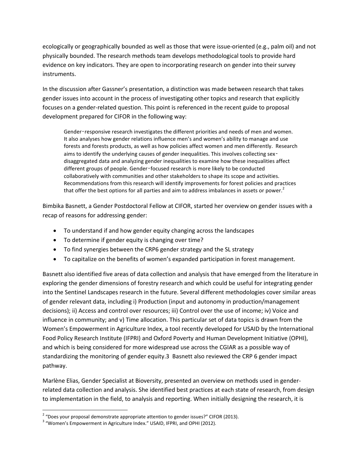ecologically or geographically bounded as well as those that were issue-oriented (e.g., palm oil) and not physically bounded. The research methods team develops methodological tools to provide hard evidence on key indicators. They are open to incorporating research on gender into their survey instruments.

In the discussion after Gassner's presentation, a distinction was made between research that takes gender issues into account in the process of investigating other topics and research that explicitly focuses on a gender-related question. This point is referenced in the recent guide to proposal development prepared for CIFOR in the following way:

Gender-responsive research investigates the different priorities and needs of men and women. It also analyses how gender relations influence men's and women's ability to manage and use forests and forests products, as well as how policies affect women and men differently. Research aims to identify the underlying causes of gender inequalities. This involves collecting sexdisaggregated data and analyzing gender inequalities to examine how these inequalities affect different groups of people. Gender‑focused research is more likely to be conducted collaboratively with communities and other stakeholders to shape its scope and activities. Recommendations from this research will identify improvements for forest policies and practices that offer the best options for all parties and aim to address imbalances in assets or power.<sup>2</sup>

Bimbika Basnett, a Gender Postdoctoral Fellow at CIFOR, started her overview on gender issues with a recap of reasons for addressing gender:

- To understand if and how gender equity changing across the landscapes
- To determine if gender equity is changing over time?
- To find synergies between the CRP6 gender strategy and the SL strategy
- To capitalize on the benefits of women's expanded participation in forest management.

Basnett also identified five areas of data collection and analysis that have emerged from the literature in exploring the gender dimensions of forestry research and which could be useful for integrating gender into the Sentinel Landscapes research in the future. Several different methodologies cover similar areas of gender relevant data, including i) Production (input and autonomy in production/management decisions); ii) Access and control over resources; iii) Control over the use of income; iv) Voice and influence in community; and v) Time allocation. This particular set of data topics is drawn from the Women's Empowerment in Agriculture Index, a tool recently developed for USAID by the International Food Policy Research Institute (IFPRI) and Oxford Poverty and Human Development Initiative (OPHI), and which is being considered for more widespread use across the CGIAR as a possible way of standardizing the monitoring of gender equity.3 Basnett also reviewed the CRP 6 gender impact pathway.

Marlène Elias, Gender Specialist at Bioversity, presented an overview on methods used in genderrelated data collection and analysis. She identified best practices at each state of research, from design to implementation in the field, to analysis and reporting. When initially designing the research, it is

 2 "Does your proposal demonstrate appropriate attention to gender issues?" CIFOR (2013).

<sup>&</sup>lt;sup>3</sup> "Women's Empowerment in Agriculture Index." USAID, IFPRI, and OPHI (2012).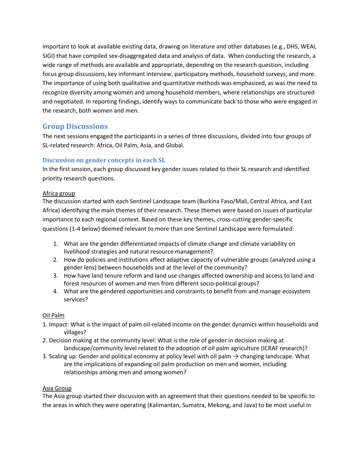important to look at available existing data, drawing on literature and other databases (e.g., DHS, WEAI, SIGI) that have compiled sex-disaggregated data and analysis of data. When conducting the research, a wide range of methods are available and appropriate, depending on the research question, including focus group discussions, key informant interview, participatory methods, household surveys, and more. The importance of using both qualitative and quantitative methods was emphasized, as was the need to recognize diversity among women and among household members, where relationships are structured and negotiated. In reporting findings, identify ways to communicate back to those who were engaged in the research, both women and men.

## **Group Discussions**

The next sessions engaged the participants in a series of three discussions, divided into four groups of SL-related research: Africa, Oil Palm, Asia, and Global.

## **Discussion on gender concepts in each SL**

In the first session, each group discussed key gender issues related to their SL research and identified priority research questions.

### Africa group

The discussion started with each Sentinel Landscape team (Burkina Faso/Mali, Central Africa, and East Africa) identifying the main themes of their research. These themes were based on issues of particular importance to each regional context. Based on these key themes, cross-cutting gender-specific questions (1-4 below) deemed relevant to more than one Sentinel Landscape were formulated:

- 1. What are the gender differentiated impacts of climate change and climate variability on livelihood strategies and natural resource management?
- 2. How do policies and institutions affect adaptive capacity of vulnerable groups (analyzed using a gender lens) between households and at the level of the community?
- 3. How have land tenure reform and land use changes affected ownership and access to land and forest resources of women and men from different socio-political groups?
- 4. What are the gendered opportunities and constraints to benefit from and manage ecosystem services?

### Oil Palm

- 1. Impact: What is the impact of palm oil-related income on the gender dynamics within households and villages?
- 2. Decision making at the community level: What is the role of gender in decision making at landscape/community level related to the adoption of oil palm agriculture (ICRAF research)?
- 3. Scaling up: Gender and political economy at policy level with oil palm  $\rightarrow$  changing landscape. What are the implications of expanding oil palm production on men and women, including relationships among men and among women?

#### Asia Group

The Asia group started their discussion with an agreement that their questions needed to be specific to the areas in which they were operating (Kalimantan, Sumatra, Mekong, and Java) to be most useful in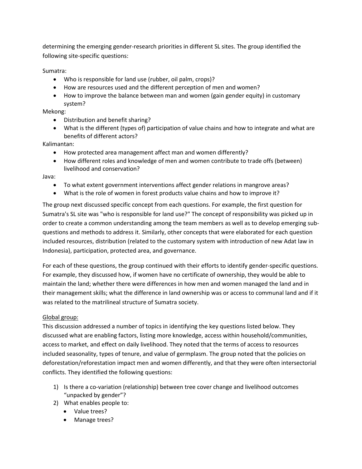determining the emerging gender-research priorities in different SL sites. The group identified the following site-specific questions:

Sumatra:

- Who is responsible for land use (rubber, oil palm, crops)?
- How are resources used and the different perception of men and women?
- How to improve the balance between man and women (gain gender equity) in customary system?

Mekong:

- Distribution and benefit sharing?
- What is the different (types of) participation of value chains and how to integrate and what are benefits of different actors?

Kalimantan:

- How protected area management affect man and women differently?
- How different roles and knowledge of men and women contribute to trade offs (between) livelihood and conservation?

Java:

- To what extent government interventions affect gender relations in mangrove areas?
- What is the role of women in forest products value chains and how to improve it?

The group next discussed specific concept from each questions. For example, the first question for Sumatra's SL site was "who is responsible for land use?" The concept of responsibility was picked up in order to create a common understanding among the team members as well as to develop emerging subquestions and methods to address it. Similarly, other concepts that were elaborated for each question included resources, distribution (related to the customary system with introduction of new Adat law in Indonesia), participation, protected area, and governance.

For each of these questions, the group continued with their efforts to identify gender-specific questions. For example, they discussed how, if women have no certificate of ownership, they would be able to maintain the land; whether there were differences in how men and women managed the land and in their management skills; what the difference in land ownership was or access to communal land and if it was related to the matrilineal structure of Sumatra society.

#### Global group:

This discussion addressed a number of topics in identifying the key questions listed below. They discussed what are enabling factors, listing more knowledge, access within household/communities, access to market, and effect on daily livelihood. They noted that the terms of access to resources included seasonality, types of tenure, and value of germplasm. The group noted that the policies on deforestation/reforestation impact men and women differently, and that they were often intersectorial conflicts. They identified the following questions:

- 1) Is there a co-variation (relationship) between tree cover change and livelihood outcomes "unpacked by gender"?
- 2) What enables people to:
	- Value trees?
	- Manage trees?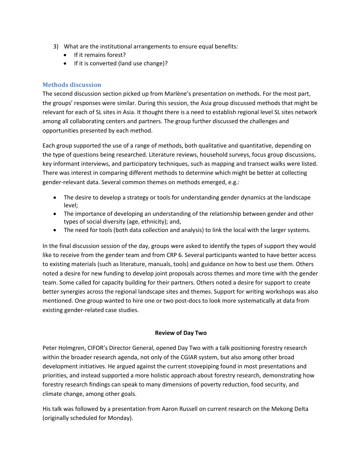- 3) What are the institutional arrangements to ensure equal benefits:
	- If it remains forest?
	- If it is converted (land use change)?

#### **Methods discussion**

The second discussion section picked up from Marlène's presentation on methods. For the most part, the groups' responses were similar. During this session, the Asia group discussed methods that might be relevant for each of SL sites in Asia. It thought there is a need to establish regional level SL sites network among all collaborating centers and partners. The group further discussed the challenges and opportunities presented by each method.

Each group supported the use of a range of methods, both qualitative and quantitative, depending on the type of questions being researched. Literature reviews, household surveys, focus group discussions, key informant interviews, and participatory techniques, such as mapping and transect walks were listed. There was interest in comparing different methods to determine which might be better at collecting gender-relevant data. Several common themes on methods emerged, e.g.:

- The desire to develop a strategy or tools for understanding gender dynamics at the landscape level;
- The importance of developing an understanding of the relationship between gender and other types of social diversity (age, ethnicity); and,
- The need for tools (both data collection and analysis) to link the local with the larger systems.

In the final discussion session of the day, groups were asked to identify the types of support they would like to receive from the gender team and from CRP 6. Several participants wanted to have better access to existing materials (such as literature, manuals, tools) and guidance on how to best use them. Others noted a desire for new funding to develop joint proposals across themes and more time with the gender team. Some called for capacity building for their partners. Others noted a desire for support to create better synergies across the regional landscape sites and themes. Support for writing workshops was also mentioned. One group wanted to hire one or two post-docs to look more systematically at data from existing gender-related case studies.

#### **Review of Day Two**

Peter Holmgren, CIFOR's Director General, opened Day Two with a talk positioning forestry research within the broader research agenda, not only of the CGIAR system, but also among other broad development initiatives. He argued against the current stovepiping found in most presentations and priorities, and instead supported a more holistic approach about forestry research, demonstrating how forestry research findings can speak to many dimensions of poverty reduction, food security, and climate change, among other goals.

His talk was followed by a presentation from Aaron Russell on current research on the Mekong Delta (originally scheduled for Monday).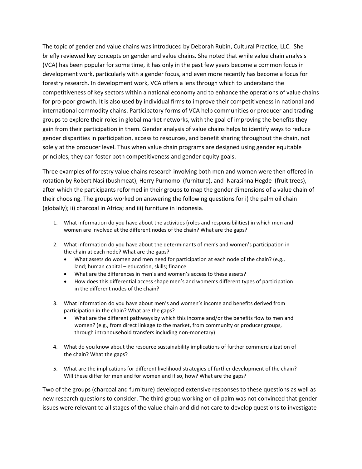The topic of gender and value chains was introduced by Deborah Rubin, Cultural Practice, LLC. She briefly reviewed key concepts on gender and value chains. She noted that while value chain analysis (VCA) has been popular for some time, it has only in the past few years become a common focus in development work, particularly with a gender focus, and even more recently has become a focus for forestry research. In development work, VCA offers a lens through which to understand the competitiveness of key sectors within a national economy and to enhance the operations of value chains for pro-poor growth. It is also used by individual firms to improve their competitiveness in national and international commodity chains. Participatory forms of VCA help communities or producer and trading groups to explore their roles in global market networks, with the goal of improving the benefits they gain from their participation in them. Gender analysis of value chains helps to identify ways to reduce gender disparities in participation, access to resources, and benefit sharing throughout the chain, not solely at the producer level. Thus when value chain programs are designed using gender equitable principles, they can foster both competitiveness and gender equity goals.

Three examples of forestry value chains research involving both men and women were then offered in rotation by Robert Nasi (bushmeat), Herry Purnomo (furniture), and Narasihna Hegde (fruit trees), after which the participants reformed in their groups to map the gender dimensions of a value chain of their choosing. The groups worked on answering the following questions for i) the palm oil chain (globally); ii) charcoal in Africa; and iii) furniture in Indonesia.

- 1. What information do you have about the activities (roles and responsibilities) in which men and women are involved at the different nodes of the chain? What are the gaps?
- 2. What information do you have about the determinants of men's and women's participation in the chain at each node? What are the gaps?
	- What assets do women and men need for participation at each node of the chain? (e.g., land; human capital – education, skills; finance
	- What are the differences in men's and women's access to these assets?
	- How does this differential access shape men's and women's different types of participation in the different nodes of the chain?
- 3. What information do you have about men's and women's income and benefits derived from participation in the chain? What are the gaps?
	- What are the different pathways by which this income and/or the benefits flow to men and women? (e.g., from direct linkage to the market, from community or producer groups, through intrahousehold transfers including non-monetary)
- 4. What do you know about the resource sustainability implications of further commercialization of the chain? What the gaps?
- 5. What are the implications for different livelihood strategies of further development of the chain? Will these differ for men and for women and if so, how? What are the gaps?

Two of the groups (charcoal and furniture) developed extensive responses to these questions as well as new research questions to consider. The third group working on oil palm was not convinced that gender issues were relevant to all stages of the value chain and did not care to develop questions to investigate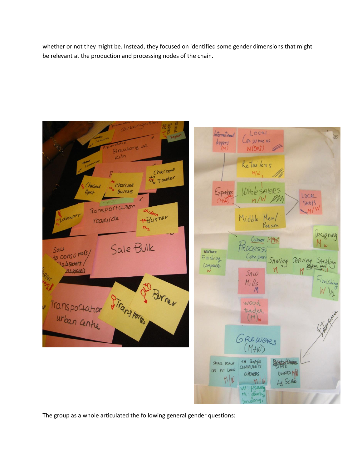whether or not they might be. Instead, they focused on identified some gender dimensions that might be relevant at the production and processing nodes of the chain.



The group as a whole articulated the following general gender questions: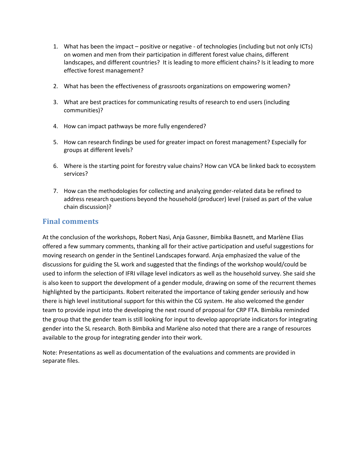- 1. What has been the impact positive or negative of technologies (including but not only ICTs) on women and men from their participation in different forest value chains, different landscapes, and different countries? It is leading to more efficient chains? Is it leading to more effective forest management?
- 2. What has been the effectiveness of grassroots organizations on empowering women?
- 3. What are best practices for communicating results of research to end users (including communities)?
- 4. How can impact pathways be more fully engendered?
- 5. How can research findings be used for greater impact on forest management? Especially for groups at different levels?
- 6. Where is the starting point for forestry value chains? How can VCA be linked back to ecosystem services?
- 7. How can the methodologies for collecting and analyzing gender-related data be refined to address research questions beyond the household (producer) level (raised as part of the value chain discussion)?

## **Final comments**

At the conclusion of the workshops, Robert Nasi, Anja Gassner, Bimbika Basnett, and Marlène Elias offered a few summary comments, thanking all for their active participation and useful suggestions for moving research on gender in the Sentinel Landscapes forward. Anja emphasized the value of the discussions for guiding the SL work and suggested that the findings of the workshop would/could be used to inform the selection of IFRI village level indicators as well as the household survey. She said she is also keen to support the development of a gender module, drawing on some of the recurrent themes highlighted by the participants. Robert reiterated the importance of taking gender seriously and how there is high level institutional support for this within the CG system. He also welcomed the gender team to provide input into the developing the next round of proposal for CRP FTA. Bimbika reminded the group that the gender team is still looking for input to develop appropriate indicators for integrating gender into the SL research. Both Bimbika and Marlène also noted that there are a range of resources available to the group for integrating gender into their work.

Note: Presentations as well as documentation of the evaluations and comments are provided in separate files.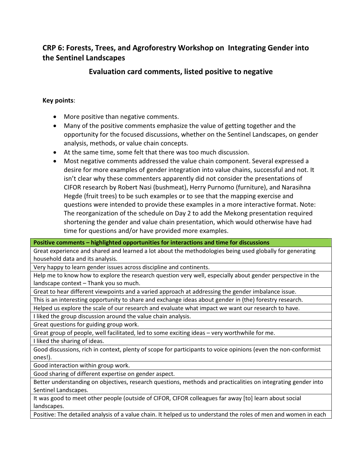# CRP 6: Forests, Trees, and Agroforestry Workshop on Integrating Gender into the Sentinel Landscapes

# Evaluation card comments, listed positive to negative

## Key points:

- More positive than negative comments.
- Many of the positive comments emphasize the value of getting together and the opportunity for the focused discussions, whether on the Sentinel Landscapes, on gender analysis, methods, or value chain concepts.
- At the same time, some felt that there was too much discussion.
- Most negative comments addressed the value chain component. Several expressed a desire for more examples of gender integration into value chains, successful and not. It isn't clear why these commenters apparently did not consider the presentations of CIFOR research by Robert Nasi (bushmeat), Herry Purnomo (furniture), and Narasihna Hegde (fruit trees) to be such examples or to see that the mapping exercise and questions were intended to provide these examples in a more interactive format. Note: The reorganization of the schedule on Day 2 to add the Mekong presentation required shortening the gender and value chain presentation, which would otherwise have had time for questions and/or have provided more examples.

Positive comments – highlighted opportunities for interactions and time for discussions

Great experience and shared and learned a lot about the methodologies being used globally for generating household data and its analysis.

Very happy to learn gender issues across discipline and continents.

Help me to know how to explore the research question very well, especially about gender perspective in the landscape context – Thank you so much.

Great to hear different viewpoints and a varied approach at addressing the gender imbalance issue.

This is an interesting opportunity to share and exchange ideas about gender in (the) forestry research.

Helped us explore the scale of our research and evaluate what impact we want our research to have.

I liked the group discussion around the value chain analysis.

Great questions for guiding group work.

Great group of people, well facilitated, led to some exciting ideas – very worthwhile for me.

I liked the sharing of ideas.

Good discussions, rich in context, plenty of scope for participants to voice opinions (even the non-conformist ones!).

Good interaction within group work.

Good sharing of different expertise on gender aspect.

Better understanding on objectives, research questions, methods and practicalities on integrating gender into Sentinel Landscapes.

It was good to meet other people (outside of CIFOR, CIFOR colleagues far away [to] learn about social landscapes.

Positive: The detailed analysis of a value chain. It helped us to understand the roles of men and women in each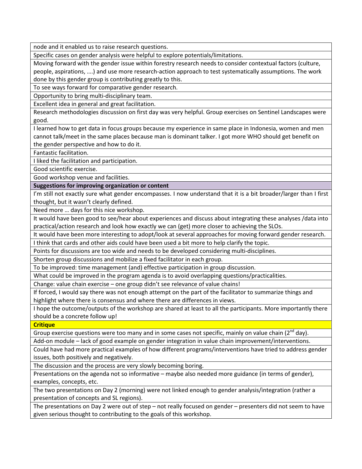node and it enabled us to raise research questions.

Specific cases on gender analysis were helpful to explore potentials/limitations.

Moving forward with the gender issue within forestry research needs to consider contextual factors (culture, people, aspirations, ….) and use more research-action approach to test systematically assumptions. The work done by this gender group is contributing greatly to this.

To see ways forward for comparative gender research.

Opportunity to bring multi-disciplinary team.

Excellent idea in general and great facilitation.

Research methodologies discussion on first day was very helpful. Group exercises on Sentinel Landscapes were good.

I learned how to get data in focus groups because my experience in same place in Indonesia, women and men cannot talk/meet in the same places because man is dominant talker. I got more WHO should get benefit on the gender perspective and how to do it.

Fantastic facilitation.

I liked the facilitation and participation.

Good scientific exercise.

Good workshop venue and facilities.

Suggestions for improving organization or content

I'm still not exactly sure what gender encompasses. I now understand that it is a bit broader/larger than I first thought, but it wasn't clearly defined.

Need more … days for this nice workshop.

It would have been good to see/hear about experiences and discuss about integrating these analyses /data into practical/action research and look how exactly we can (get) more closer to achieving the SLOs.

It would have been more interesting to adopt/look at several approaches for moving forward gender research.

I think that cards and other aids could have been used a bit more to help clarify the topic.

Points for discussions are too wide and needs to be developed considering multi-disciplines.

Shorten group discussions and mobilize a fixed facilitator in each group.

To be improved: time management (and) effective participation in group discussion.

What could be improved in the program agenda is to avoid overlapping questions/practicalities.

Change: value chain exercise – one group didn't see relevance of value chains!

If forced, I would say there was not enough attempt on the part of the facilitator to summarize things and highlight where there is consensus and where there are differences in views.

I hope the outcome/outputs of the workshop are shared at least to all the participants. More importantly there should be a concrete follow up!

**Critique** 

Group exercise questions were too many and in some cases not specific, mainly on value chain  $(2^{nd}$  day).

Add-on module – lack of good example on gender integration in value chain improvement/interventions.

Could have had more practical examples of how different programs/interventions have tried to address gender issues, both positively and negatively.

The discussion and the process are very slowly becoming boring.

Presentations on the agenda not so informative – maybe also needed more guidance (in terms of gender), examples, concepts, etc.

The two presentations on Day 2 (morning) were not linked enough to gender analysis/integration (rather a presentation of concepts and SL regions).

The presentations on Day 2 were out of step – not really focused on gender – presenters did not seem to have given serious thought to contributing to the goals of this workshop.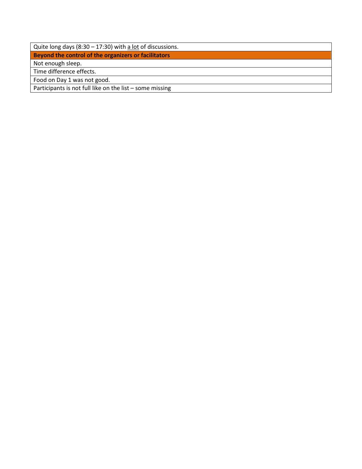| Quite long days (8:30 – 17:30) with a lot of discussions. |  |
|-----------------------------------------------------------|--|
| Beyond the control of the organizers or facilitators      |  |
| Not enough sleep.                                         |  |
| Time difference effects.                                  |  |
| Food on Day 1 was not good.                               |  |
| Participants is not full like on the list - some missing  |  |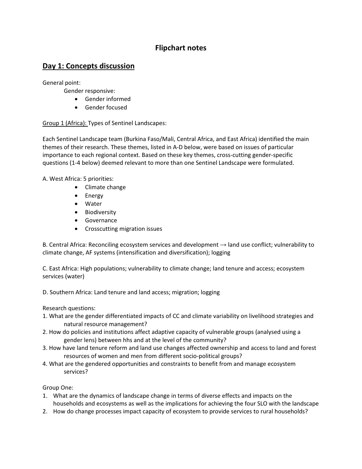# Flipchart notes

# Day 1: Concepts discussion

General point:

Gender responsive:

- Gender informed
- Gender focused

### Group 1 (Africa): Types of Sentinel Landscapes:

Each Sentinel Landscape team (Burkina Faso/Mali, Central Africa, and East Africa) identified the main themes of their research. These themes, listed in A-D below, were based on issues of particular importance to each regional context. Based on these key themes, cross-cutting gender-specific questions (1-4 below) deemed relevant to more than one Sentinel Landscape were formulated.

A. West Africa: 5 priorities:

- Climate change
- Energy
- Water
- Biodiversity
- Governance
- Crosscutting migration issues

B. Central Africa: Reconciling ecosystem services and development  $\rightarrow$  land use conflict; vulnerability to climate change, AF systems (intensification and diversification); logging

C. East Africa: High populations; vulnerability to climate change; land tenure and access; ecosystem services (water)

D. Southern Africa: Land tenure and land access; migration; logging

Research questions:

- 1. What are the gender differentiated impacts of CC and climate variability on livelihood strategies and natural resource management?
- 2. How do policies and institutions affect adaptive capacity of vulnerable groups (analysed using a gender lens) between hhs and at the level of the community?
- 3. How have land tenure reform and land use changes affected ownership and access to land and forest resources of women and men from different socio-political groups?
- 4. What are the gendered opportunities and constraints to benefit from and manage ecosystem services?

Group One:

- 1. What are the dynamics of landscape change in terms of diverse effects and impacts on the households and ecosystems as well as the implications for achieving the four SLO with the landscape
- 2. How do change processes impact capacity of ecosystem to provide services to rural households?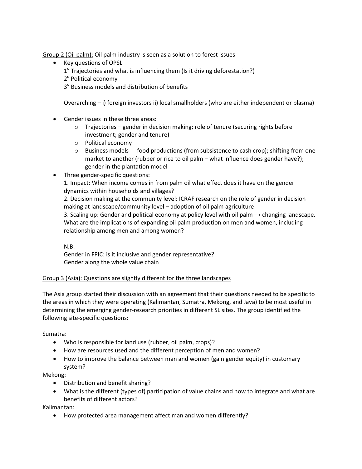Group 2 (Oil palm): Oil palm industry is seen as a solution to forest issues

- Key questions of OPSL
	- $1^{\circ}$  Trajectories and what is influencing them (Is it driving deforestation?)
	- 2<sup>°</sup> Political economy
	- 3<sup>°</sup> Business models and distribution of benefits

Overarching – i) foreign investors ii) local smallholders (who are either independent or plasma)

- Gender issues in these three areas:
	- o Trajectories gender in decision making; role of tenure (securing rights before investment; gender and tenure)
	- o Political economy
	- $\circ$  Business models -- food productions (from subsistence to cash crop); shifting from one market to another (rubber or rice to oil palm – what influence does gender have?); gender in the plantation model
- Three gender-specific questions:

1. Impact: When income comes in from palm oil what effect does it have on the gender dynamics within households and villages?

2. Decision making at the community level: ICRAF research on the role of gender in decision making at landscape/community level – adoption of oil palm agriculture

3. Scaling up: Gender and political economy at policy level with oil palm  $\rightarrow$  changing landscape. What are the implications of expanding oil palm production on men and women, including relationship among men and among women?

N.B.

Gender in FPIC: is it inclusive and gender representative? Gender along the whole value chain

#### Group 3 (Asia): Questions are slightly different for the three landscapes

The Asia group started their discussion with an agreement that their questions needed to be specific to the areas in which they were operating (Kalimantan, Sumatra, Mekong, and Java) to be most useful in determining the emerging gender-research priorities in different SL sites. The group identified the following site-specific questions:

Sumatra:

- Who is responsible for land use (rubber, oil palm, crops)?
- How are resources used and the different perception of men and women?
- How to improve the balance between man and women (gain gender equity) in customary system?

Mekong:

- Distribution and benefit sharing?
- What is the different (types of) participation of value chains and how to integrate and what are benefits of different actors?

Kalimantan:

• How protected area management affect man and women differently?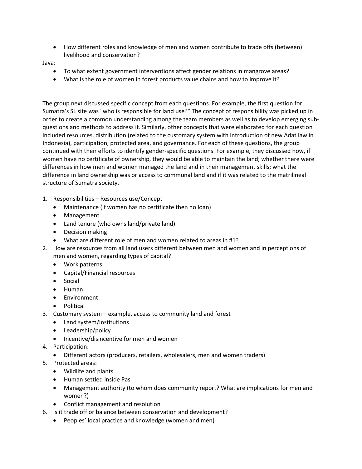• How different roles and knowledge of men and women contribute to trade offs (between) livelihood and conservation?

Java:

- To what extent government interventions affect gender relations in mangrove areas?
- What is the role of women in forest products value chains and how to improve it?

The group next discussed specific concept from each questions. For example, the first question for Sumatra's SL site was "who is responsible for land use?" The concept of responsibility was picked up in order to create a common understanding among the team members as well as to develop emerging subquestions and methods to address it. Similarly, other concepts that were elaborated for each question included resources, distribution (related to the customary system with introduction of new Adat law in Indonesia), participation, protected area, and governance. For each of these questions, the group continued with their efforts to identify gender-specific questions. For example, they discussed how, if women have no certificate of ownership, they would be able to maintain the land; whether there were differences in how men and women managed the land and in their management skills; what the difference in land ownership was or access to communal land and if it was related to the matrilineal structure of Sumatra society.

- 1. Responsibilities Resources use/Concept
	- Maintenance (if women has no certificate then no loan)
	- Management
	- Land tenure (who owns land/private land)
	- Decision making
	- What are different role of men and women related to areas in #1?
- 2. How are resources from all land users different between men and women and in perceptions of men and women, regarding types of capital?
	- Work patterns
	- Capital/Financial resources
	- Social
	- Human
	- Environment
	- Political
- 3. Customary system example, access to community land and forest
	- Land system/institutions
	- Leadership/policy
	- Incentive/disincentive for men and women
- 4. Participation:
	- Different actors (producers, retailers, wholesalers, men and women traders)
- 5. Protected areas:
	- Wildlife and plants
	- Human settled inside Pas
	- Management authority (to whom does community report? What are implications for men and women?)
	- Conflict management and resolution
- 6. Is it trade off or balance between conservation and development?
	- Peoples' local practice and knowledge (women and men)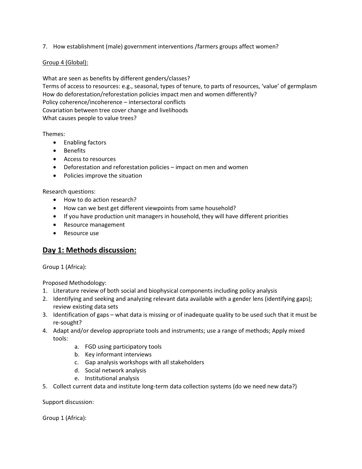7. How establishment (male) government interventions /farmers groups affect women?

#### Group 4 (Global):

What are seen as benefits by different genders/classes? Terms of access to resources: e.g., seasonal, types of tenure, to parts of resources, 'value' of germplasm How do deforestation/reforestation policies impact men and women differently? Policy coherence/incoherence – intersectoral conflicts Covariation between tree cover change and livelihoods What causes people to value trees?

Themes:

- Enabling factors
- Benefits
- Access to resources
- Deforestation and reforestation policies impact on men and women
- Policies improve the situation

Research questions:

- How to do action research?
- How can we best get different viewpoints from same household?
- If you have production unit managers in household, they will have different priorities
- Resource management
- Resource use

## Day 1: Methods discussion:

Group 1 (Africa):

Proposed Methodology:

- 1. Literature review of both social and biophysical components including policy analysis
- 2. Identifying and seeking and analyzing relevant data available with a gender lens (identifying gaps); review existing data sets
- 3. Identification of gaps what data is missing or of inadequate quality to be used such that it must be re-sought?
- 4. Adapt and/or develop appropriate tools and instruments; use a range of methods; Apply mixed tools:
	- a. FGD using participatory tools
	- b. Key informant interviews
	- c. Gap analysis workshops with all stakeholders
	- d. Social network analysis
	- e. Institutional analysis
- 5. Collect current data and institute long-term data collection systems (do we need new data?)

Support discussion:

Group 1 (Africa):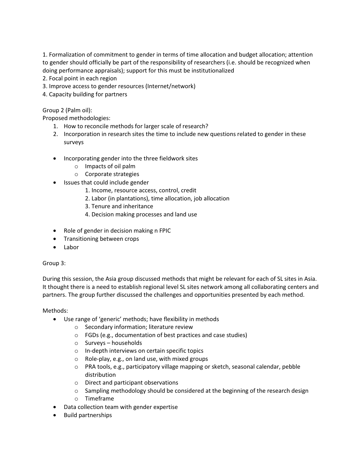1. Formalization of commitment to gender in terms of time allocation and budget allocation; attention to gender should officially be part of the responsibility of researchers (i.e. should be recognized when doing performance appraisals); support for this must be institutionalized

- 2. Focal point in each region
- 3. Improve access to gender resources (Internet/network)
- 4. Capacity building for partners

Group 2 (Palm oil):

Proposed methodologies:

- 1. How to reconcile methods for larger scale of research?
- 2. Incorporation in research sites the time to include new questions related to gender in these surveys
- Incorporating gender into the three fieldwork sites
	- o Impacts of oil palm
	- o Corporate strategies
- Issues that could include gender
	- 1. Income, resource access, control, credit
	- 2. Labor (in plantations), time allocation, job allocation
	- 3. Tenure and inheritance
	- 4. Decision making processes and land use
- Role of gender in decision making n FPIC
- Transitioning between crops
- Labor

Group 3:

During this session, the Asia group discussed methods that might be relevant for each of SL sites in Asia. It thought there is a need to establish regional level SL sites network among all collaborating centers and partners. The group further discussed the challenges and opportunities presented by each method.

#### Methods:

- Use range of 'generic' methods; have flexibility in methods
	- o Secondary information; literature review
	- o FGDs (e.g., documentation of best practices and case studies)
	- o Surveys households
	- o In-depth interviews on certain specific topics
	- o Role-play, e.g., on land use, with mixed groups
	- o PRA tools, e.g., participatory village mapping or sketch, seasonal calendar, pebble distribution
	- o Direct and participant observations
	- $\circ$  Sampling methodology should be considered at the beginning of the research design
	- o Timeframe
- Data collection team with gender expertise
- Build partnerships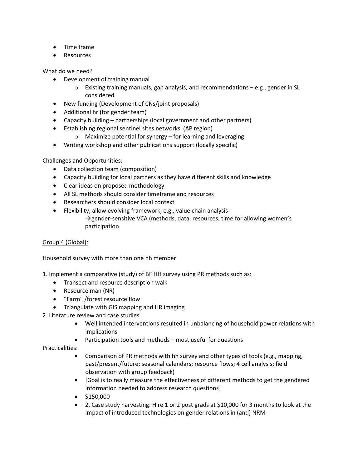- Time frame
- **Resources**

What do we need?

- Development of training manual
	- $\circ$  Existing training manuals, gap analysis, and recommendations e.g., gender in SL considered
- New funding (Development of CNs/joint proposals)
- Additional hr (for gender team)
- Capacity building partnerships (local government and other partners)
- Establishing regional sentinel sites networks (AP region)
	- o Maximize potential for synergy for learning and leveraging
- Writing workshop and other publications support (locally specific)

Challenges and Opportunities:

- Data collection team (composition)
- Capacity building for local partners as they have different skills and knowledge
- Clear ideas on proposed methodology
- All SL methods should consider timeframe and resources
- Researchers should consider local context
- Flexibility, allow evolving framework, e.g., value chain analysis  $\rightarrow$  gender-sensitive VCA (methods, data, resources, time for allowing women's participation

### Group 4 (Global):

Household survey with more than one hh member

1. Implement a comparative (study) of BF HH survey using PR methods such as:

- Transect and resource description walk
- Resource man (NR)
- "Farm" /forest resource flow
- Triangulate with GIS mapping and HR imaging
- 2. Literature review and case studies
	- Well intended interventions resulted in unbalancing of household power relations with implications
	- Participation tools and methods most useful for questions

### Practicalities:

- Comparison of PR methods with hh survey and other types of tools (e.g., mapping, past/present/future; seasonal calendars; resource flows; 4 cell analysis; field observation with group feedback)
- [Goal is to really measure the effectiveness of different methods to get the gendered information needed to address research questions]
- $\bullet$  \$150,000
- 2. Case study harvesting: Hire 1 or 2 post grads at \$10,000 for 3 months to look at the impact of introduced technologies on gender relations in (and) NRM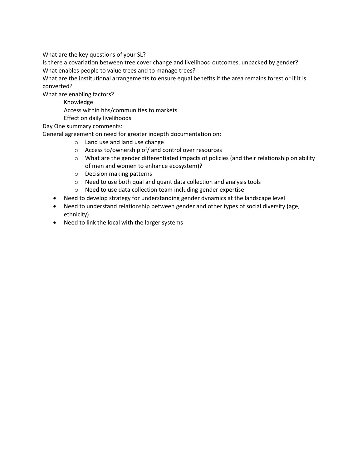What are the key questions of your SL?

Is there a covariation between tree cover change and livelihood outcomes, unpacked by gender? What enables people to value trees and to manage trees?

What are the institutional arrangements to ensure equal benefits if the area remains forest or if it is converted?

What are enabling factors?

Knowledge

Access within hhs/communities to markets

Effect on daily livelihoods

Day One summary comments:

General agreement on need for greater indepth documentation on:

- o Land use and land use change
- o Access to/ownership of/ and control over resources
- $\circ$  What are the gender differentiated impacts of policies (and their relationship on ability of men and women to enhance ecosystem)?
- o Decision making patterns
- o Need to use both qual and quant data collection and analysis tools
- o Need to use data collection team including gender expertise
- Need to develop strategy for understanding gender dynamics at the landscape level
- Need to understand relationship between gender and other types of social diversity (age, ethnicity)
- Need to link the local with the larger systems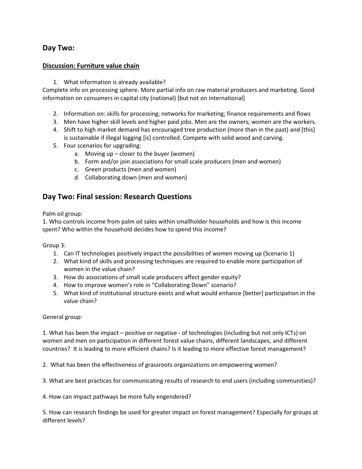# Day Two:

## Discussion: Furniture value chain

1. What information is already available?

Complete info on processing sphere. More partial info on raw material producers and marketing. Good information on consumers in capital city (national) [but not on international]

- 2. Information on: skills for processing; networks for marketing; finance requirements and flows
- 3. Men have higher skill levels and higher paid jobs. Men are the owners; women are the workers.
- 4. Shift to high market demand has encouraged tree production (more than in the past) and [this] is sustainable if illegal logging [is] controlled. Compete with solid wood and carving.
- 5. Four scenarios for upgrading:
	- a. Moving  $up$  closer to the buyer (women)
		- b. Form and/or join associations for small scale producers (men and women)
		- c. Green products (men and women)
		- d. Collaborating down (men and women)

# Day Two: Final session: Research Questions

Palm oil group:

1. Who controls income from palm oil sales within smallholder households and how is this income spent? Who within the household decides how to spend this income?

Group 3:

- 1. Can IT technologies positively impact the possibilities of women moving up (Scenario 1)
- 2. What kind of skills and processing techniques are required to enable more participation of women in the value chain?
- 3. How do associations of small scale producers affect gender equity?
- 4. How to improve women's role in "Collaborating Down" scenario?
- 5. What kind of institutional structure exists and what would enhance [better] participation in the value chain?

General group:

1. What has been the impact – positive or negative - of technologies (including but not only ICTs) on women and men on participation in different forest value chains, different landscapes, and different countries? It is leading to more efficient chains? Is it leading to more effective forest management?

2. What has been the effectiveness of grassroots organizations on empowering women?

3. What are best practices for communicating results of research to end users (including communities)?

4. How can impact pathways be more fully engendered?

5. How can research findings be used for greater impact on forest management? Especially for groups at different levels?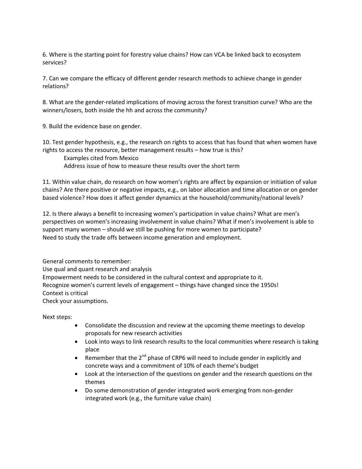6. Where is the starting point for forestry value chains? How can VCA be linked back to ecosystem services?

7. Can we compare the efficacy of different gender research methods to achieve change in gender relations?

8. What are the gender-related implications of moving across the forest transition curve? Who are the winners/losers, both inside the hh and across the community?

9. Build the evidence base on gender.

10. Test gender hypothesis, e.g., the research on rights to access that has found that when women have rights to access the resource, better management results – how true is this?

 Examples cited from Mexico Address issue of how to measure these results over the short term

11. Within value chain, do research on how women's rights are affect by expansion or initiation of value chains? Are there positive or negative impacts, e.g., on labor allocation and time allocation or on gender based violence? How does it affect gender dynamics at the household/community/national levels?

12. Is there always a benefit to increasing women's participation in value chains? What are men's perspectives on women's increasing involvement in value chains? What if men's involvement is able to support many women – should we still be pushing for more women to participate? Need to study the trade offs between income generation and employment.

General comments to remember: Use qual and quant research and analysis Empowerment needs to be considered in the cultural context and appropriate to it. Recognize women's current levels of engagement – things have changed since the 1950s! Context is critical Check your assumptions.

Next steps:

- Consolidate the discussion and review at the upcoming theme meetings to develop proposals for new research activities
- Look into ways to link research results to the local communities where research is taking place
- Remember that the 2<sup>nd</sup> phase of CRP6 will need to include gender in explicitly and concrete ways and a commitment of 10% of each theme's budget
- Look at the intersection of the questions on gender and the research questions on the themes
- Do some demonstration of gender integrated work emerging from non-gender integrated work (e.g., the furniture value chain)